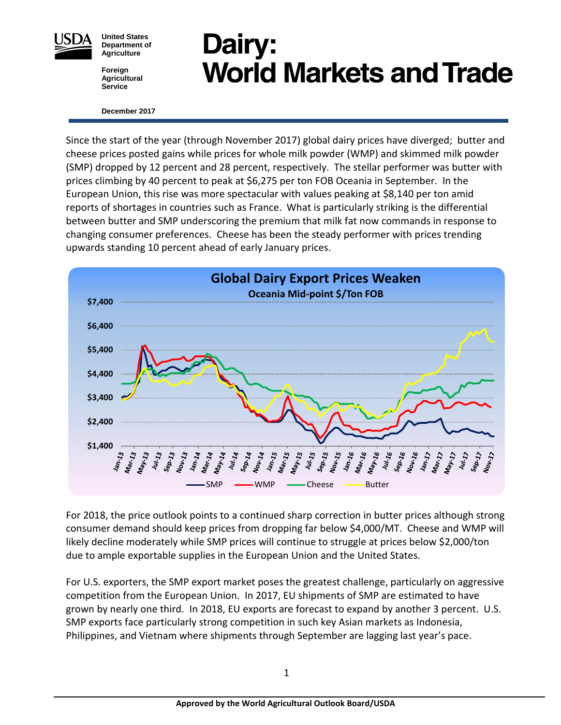

**United States Department of Agriculture**

**Foreign Agricultural Service**

# Dairy: **World Markets and Trade**

#### **December <sup>2017</sup>**

Since the start of the year (through November 2017) global dairy prices have diverged; butter and cheese prices posted gains while prices for whole milk powder (WMP) and skimmed milk powder (SMP) dropped by 12 percent and 28 percent, respectively. The stellar performer was butter with prices climbing by 40 percent to peak at \$6,275 per ton FOB Oceania in September. In the European Union, this rise was more spectacular with values peaking at \$8,140 per ton amid reports of shortages in countries such as France. What is particularly striking is the differential between butter and SMP underscoring the premium that milk fat now commands in response to changing consumer preferences. Cheese has been the steady performer with prices trending upwards standing 10 percent ahead of early January prices.



For 2018, the price outlook points to a continued sharp correction in butter prices although strong consumer demand should keep prices from dropping far below \$4,000/MT. Cheese and WMP will likely decline moderately while SMP prices will continue to struggle at prices below \$2,000/ton due to ample exportable supplies in the European Union and the United States.

For U.S. exporters, the SMP export market poses the greatest challenge, particularly on aggressive competition from the European Union. In 2017, EU shipments of SMP are estimated to have grown by nearly one third. In 2018, EU exports are forecast to expand by another 3 percent. U.S. SMP exports face particularly strong competition in such key Asian markets as Indonesia, Philippines, and Vietnam where shipments through September are lagging last year's pace.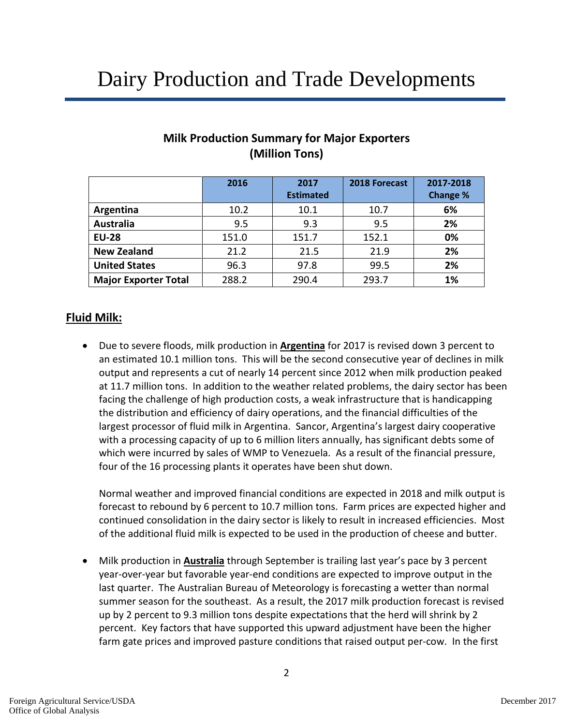## Dairy Production and Trade Developments

|                             | 2016  | 2017             | 2018 Forecast | 2017-2018 |
|-----------------------------|-------|------------------|---------------|-----------|
|                             |       | <b>Estimated</b> |               | Change %  |
| Argentina                   | 10.2  | 10.1             | 10.7          | 6%        |
| Australia                   | 9.5   | 9.3              | 9.5           | 2%        |
| <b>EU-28</b>                | 151.0 | 151.7            | 152.1         | 0%        |
| <b>New Zealand</b>          | 21.2  | 21.5             | 21.9          | 2%        |
| <b>United States</b>        | 96.3  | 97.8             | 99.5          | 2%        |
| <b>Major Exporter Total</b> | 288.2 | 290.4            | 293.7         | 1%        |

## **Milk Production Summary for Major Exporters (Million Tons)**

## **Fluid Milk:**

• Due to severe floods, milk production in **Argentina** for 2017 is revised down 3 percent to an estimated 10.1 million tons. This will be the second consecutive year of declines in milk output and represents a cut of nearly 14 percent since 2012 when milk production peaked at 11.7 million tons. In addition to the weather related problems, the dairy sector has been facing the challenge of high production costs, a weak infrastructure that is handicapping the distribution and efficiency of dairy operations, and the financial difficulties of the largest processor of fluid milk in Argentina. Sancor, Argentina's largest dairy cooperative with a processing capacity of up to 6 million liters annually, has significant debts some of which were incurred by sales of WMP to Venezuela. As a result of the financial pressure, four of the 16 processing plants it operates have been shut down.

Normal weather and improved financial conditions are expected in 2018 and milk output is forecast to rebound by 6 percent to 10.7 million tons. Farm prices are expected higher and continued consolidation in the dairy sector is likely to result in increased efficiencies. Most of the additional fluid milk is expected to be used in the production of cheese and butter.

• Milk production in **Australia** through September is trailing last year's pace by 3 percent year-over-year but favorable year-end conditions are expected to improve output in the last quarter. The Australian Bureau of Meteorology is forecasting a wetter than normal summer season for the southeast. As a result, the 2017 milk production forecast is revised up by 2 percent to 9.3 million tons despite expectations that the herd will shrink by 2 percent. Key factors that have supported this upward adjustment have been the higher farm gate prices and improved pasture conditions that raised output per-cow. In the first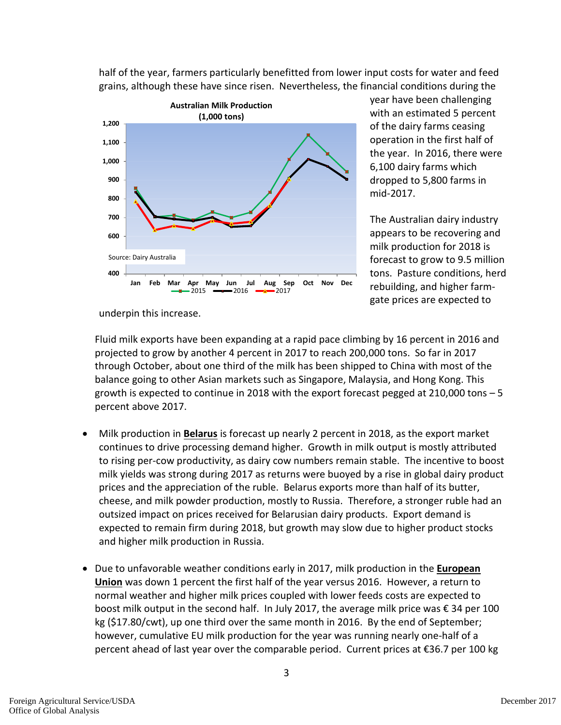

half of the year, farmers particularly benefitted from lower input costs for water and feed grains, although these have since risen. Nevertheless, the financial conditions during the

> year have been challenging with an estimated 5 percent of the dairy farms ceasing operation in the first half of the year. In 2016, there were 6,100 dairy farms which dropped to 5,800 farms in mid-2017.

The Australian dairy industry appears to be recovering and milk production for 2018 is forecast to grow to 9.5 million tons. Pasture conditions, herd rebuilding, and higher farmgate prices are expected to

underpin this increase.

Fluid milk exports have been expanding at a rapid pace climbing by 16 percent in 2016 and projected to grow by another 4 percent in 2017 to reach 200,000 tons. So far in 2017 through October, about one third of the milk has been shipped to China with most of the balance going to other Asian markets such as Singapore, Malaysia, and Hong Kong. This growth is expected to continue in 2018 with the export forecast pegged at 210,000 tons – 5 percent above 2017.

- Milk production in **Belarus** is forecast up nearly 2 percent in 2018, as the export market continues to drive processing demand higher. Growth in milk output is mostly attributed to rising per-cow productivity, as dairy cow numbers remain stable. The incentive to boost milk yields was strong during 2017 as returns were buoyed by a rise in global dairy product prices and the appreciation of the ruble. Belarus exports more than half of its butter, cheese, and milk powder production, mostly to Russia. Therefore, a stronger ruble had an outsized impact on prices received for Belarusian dairy products. Export demand is expected to remain firm during 2018, but growth may slow due to higher product stocks and higher milk production in Russia.
- Due to unfavorable weather conditions early in 2017, milk production in the **European Union** was down 1 percent the first half of the year versus 2016. However, a return to normal weather and higher milk prices coupled with lower feeds costs are expected to boost milk output in the second half. In July 2017, the average milk price was € 34 per 100 kg (\$17.80/cwt), up one third over the same month in 2016. By the end of September; however, cumulative EU milk production for the year was running nearly one-half of a percent ahead of last year over the comparable period. Current prices at €36.7 per 100 kg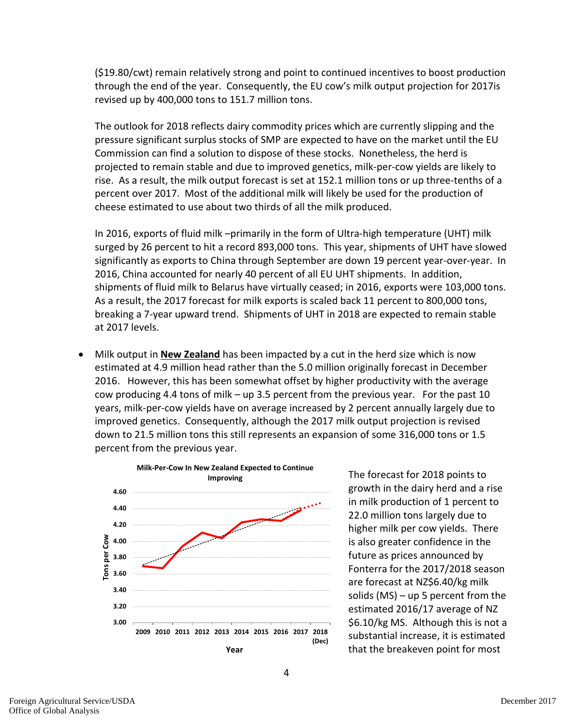(\$19.80/cwt) remain relatively strong and point to continued incentives to boost production through the end of the year. Consequently, the EU cow's milk output projection for 2017is revised up by 400,000 tons to 151.7 million tons.

The outlook for 2018 reflects dairy commodity prices which are currently slipping and the pressure significant surplus stocks of SMP are expected to have on the market until the EU Commission can find a solution to dispose of these stocks. Nonetheless, the herd is projected to remain stable and due to improved genetics, milk-per-cow yields are likely to rise. As a result, the milk output forecast is set at 152.1 million tons or up three-tenths of a percent over 2017. Most of the additional milk will likely be used for the production of cheese estimated to use about two thirds of all the milk produced.

In 2016, exports of fluid milk –primarily in the form of Ultra-high temperature (UHT) milk surged by 26 percent to hit a record 893,000 tons. This year, shipments of UHT have slowed significantly as exports to China through September are down 19 percent year-over-year. In 2016, China accounted for nearly 40 percent of all EU UHT shipments. In addition, shipments of fluid milk to Belarus have virtually ceased; in 2016, exports were 103,000 tons. As a result, the 2017 forecast for milk exports is scaled back 11 percent to 800,000 tons, breaking a 7-year upward trend. Shipments of UHT in 2018 are expected to remain stable at 2017 levels.

• Milk output in **New Zealand** has been impacted by a cut in the herd size which is now estimated at 4.9 million head rather than the 5.0 million originally forecast in December 2016. However, this has been somewhat offset by higher productivity with the average cow producing 4.4 tons of milk – up 3.5 percent from the previous year. For the past 10 years, milk-per-cow yields have on average increased by 2 percent annually largely due to improved genetics. Consequently, although the 2017 milk output projection is revised down to 21.5 million tons this still represents an expansion of some 316,000 tons or 1.5 percent from the previous year.



The forecast for 2018 points to growth in the dairy herd and a rise in milk production of 1 percent to 22.0 million tons largely due to higher milk per cow yields. There is also greater confidence in the future as prices announced by Fonterra for the 2017/2018 season are forecast at NZ\$6.40/kg milk solids  $(MS)$  – up 5 percent from the estimated 2016/17 average of NZ \$6.10/kg MS. Although this is not a substantial increase, it is estimated that the breakeven point for most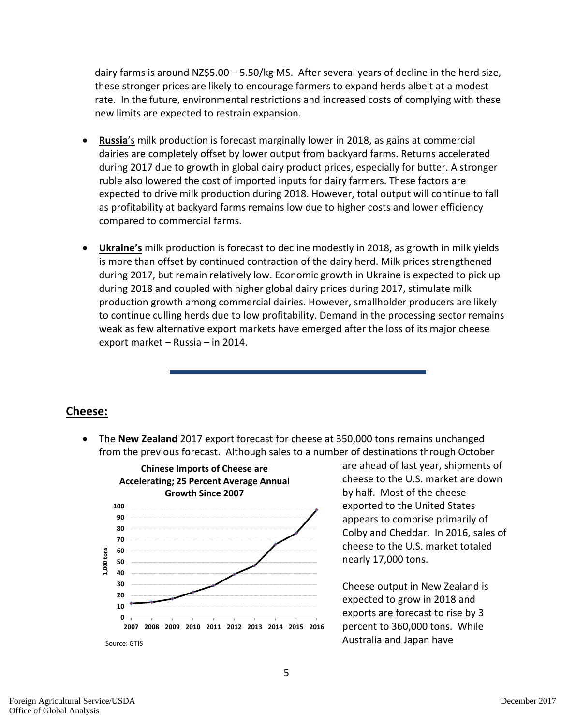dairy farms is around NZ\$5.00 – 5.50/kg MS. After several years of decline in the herd size, these stronger prices are likely to encourage farmers to expand herds albeit at a modest rate. In the future, environmental restrictions and increased costs of complying with these new limits are expected to restrain expansion.

- **Russia**'s milk production is forecast marginally lower in 2018, as gains at commercial dairies are completely offset by lower output from backyard farms. Returns accelerated during 2017 due to growth in global dairy product prices, especially for butter. A stronger ruble also lowered the cost of imported inputs for dairy farmers. These factors are expected to drive milk production during 2018. However, total output will continue to fall as profitability at backyard farms remains low due to higher costs and lower efficiency compared to commercial farms.
- **Ukraine's** milk production is forecast to decline modestly in 2018, as growth in milk yields is more than offset by continued contraction of the dairy herd. Milk prices strengthened during 2017, but remain relatively low. Economic growth in Ukraine is expected to pick up during 2018 and coupled with higher global dairy prices during 2017, stimulate milk production growth among commercial dairies. However, smallholder producers are likely to continue culling herds due to low profitability. Demand in the processing sector remains weak as few alternative export markets have emerged after the loss of its major cheese export market – Russia – in 2014.

## **Cheese:**

• The **New Zealand** 2017 export forecast for cheese at 350,000 tons remains unchanged from the previous forecast. Although sales to a number of destinations through October



are ahead of last year, shipments of cheese to the U.S. market are down by half. Most of the cheese exported to the United States appears to comprise primarily of Colby and Cheddar. In 2016, sales of cheese to the U.S. market totaled nearly 17,000 tons.

Cheese output in New Zealand is expected to grow in 2018 and exports are forecast to rise by 3 percent to 360,000 tons. While Australia and Japan have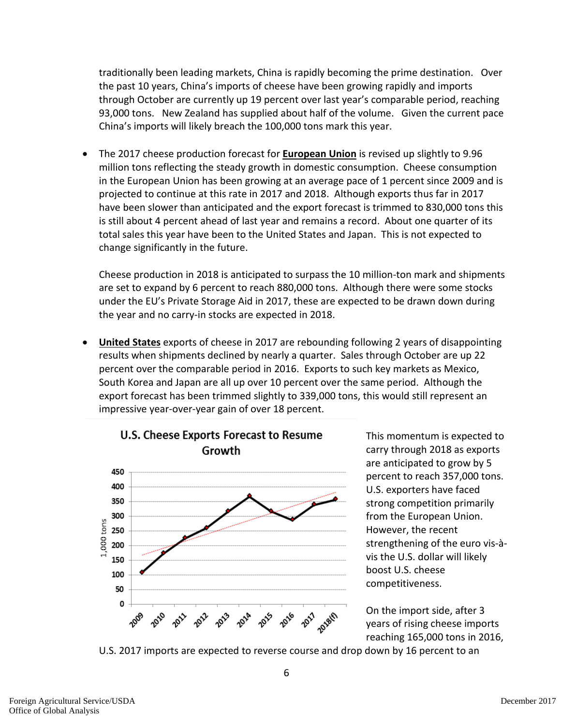traditionally been leading markets, China is rapidly becoming the prime destination. Over the past 10 years, China's imports of cheese have been growing rapidly and imports through October are currently up 19 percent over last year's comparable period, reaching 93,000 tons. New Zealand has supplied about half of the volume. Given the current pace China's imports will likely breach the 100,000 tons mark this year.

• The 2017 cheese production forecast for **European Union** is revised up slightly to 9.96 million tons reflecting the steady growth in domestic consumption. Cheese consumption in the European Union has been growing at an average pace of 1 percent since 2009 and is projected to continue at this rate in 2017 and 2018. Although exports thus far in 2017 have been slower than anticipated and the export forecast is trimmed to 830,000 tons this is still about 4 percent ahead of last year and remains a record. About one quarter of its total sales this year have been to the United States and Japan. This is not expected to change significantly in the future.

Cheese production in 2018 is anticipated to surpass the 10 million-ton mark and shipments are set to expand by 6 percent to reach 880,000 tons. Although there were some stocks under the EU's Private Storage Aid in 2017, these are expected to be drawn down during the year and no carry-in stocks are expected in 2018.

• **United States** exports of cheese in 2017 are rebounding following 2 years of disappointing results when shipments declined by nearly a quarter. Sales through October are up 22 percent over the comparable period in 2016. Exports to such key markets as Mexico, South Korea and Japan are all up over 10 percent over the same period. Although the export forecast has been trimmed slightly to 339,000 tons, this would still represent an impressive year-over-year gain of over 18 percent.



This momentum is expected to carry through 2018 as exports are anticipated to grow by 5 percent to reach 357,000 tons. U.S. exporters have faced strong competition primarily from the European Union. However, the recent strengthening of the euro vis-àvis the U.S. dollar will likely boost U.S. cheese competitiveness.

On the import side, after 3 years of rising cheese imports reaching 165,000 tons in 2016,

U.S. 2017 imports are expected to reverse course and drop down by 16 percent to an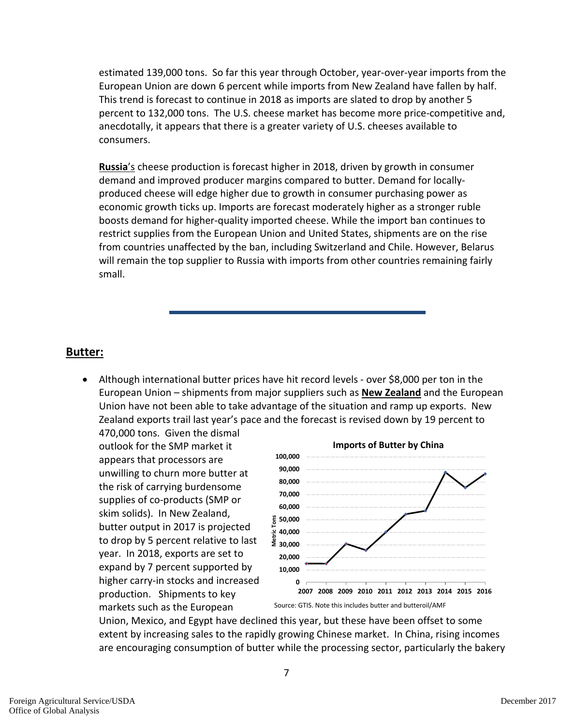estimated 139,000 tons. So far this year through October, year-over-year imports from the European Union are down 6 percent while imports from New Zealand have fallen by half. This trend is forecast to continue in 2018 as imports are slated to drop by another 5 percent to 132,000 tons. The U.S. cheese market has become more price-competitive and, anecdotally, it appears that there is a greater variety of U.S. cheeses available to consumers.

**Russia**'s cheese production is forecast higher in 2018, driven by growth in consumer demand and improved producer margins compared to butter. Demand for locallyproduced cheese will edge higher due to growth in consumer purchasing power as economic growth ticks up. Imports are forecast moderately higher as a stronger ruble boosts demand for higher-quality imported cheese. While the import ban continues to restrict supplies from the European Union and United States, shipments are on the rise from countries unaffected by the ban, including Switzerland and Chile. However, Belarus will remain the top supplier to Russia with imports from other countries remaining fairly small.

## **Butter:**

• Although international butter prices have hit record levels - over \$8,000 per ton in the European Union – shipments from major suppliers such as **New Zealand** and the European Union have not been able to take advantage of the situation and ramp up exports. New Zealand exports trail last year's pace and the forecast is revised down by 19 percent to

470,000 tons. Given the dismal outlook for the SMP market it appears that processors are unwilling to churn more butter at the risk of carrying burdensome supplies of co-products (SMP or skim solids). In New Zealand, butter output in 2017 is projected to drop by 5 percent relative to last year. In 2018, exports are set to expand by 7 percent supported by higher carry-in stocks and increased production. Shipments to key markets such as the European



Union, Mexico, and Egypt have declined this year, but these have been offset to some extent by increasing sales to the rapidly growing Chinese market. In China, rising incomes are encouraging consumption of butter while the processing sector, particularly the bakery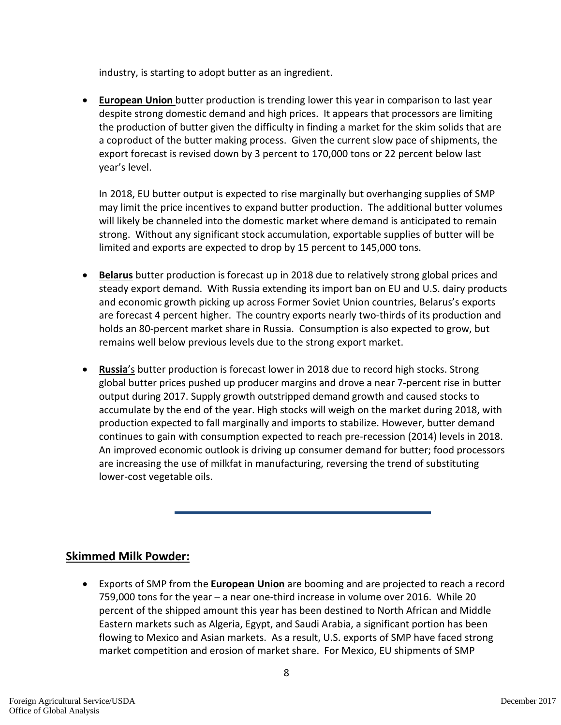industry, is starting to adopt butter as an ingredient.

• **European Union** butter production is trending lower this year in comparison to last year despite strong domestic demand and high prices. It appears that processors are limiting the production of butter given the difficulty in finding a market for the skim solids that are a coproduct of the butter making process. Given the current slow pace of shipments, the export forecast is revised down by 3 percent to 170,000 tons or 22 percent below last year's level.

In 2018, EU butter output is expected to rise marginally but overhanging supplies of SMP may limit the price incentives to expand butter production. The additional butter volumes will likely be channeled into the domestic market where demand is anticipated to remain strong. Without any significant stock accumulation, exportable supplies of butter will be limited and exports are expected to drop by 15 percent to 145,000 tons.

- **Belarus** butter production is forecast up in 2018 due to relatively strong global prices and steady export demand. With Russia extending its import ban on EU and U.S. dairy products and economic growth picking up across Former Soviet Union countries, Belarus's exports are forecast 4 percent higher. The country exports nearly two-thirds of its production and holds an 80-percent market share in Russia. Consumption is also expected to grow, but remains well below previous levels due to the strong export market.
- **Russia**'s butter production is forecast lower in 2018 due to record high stocks. Strong global butter prices pushed up producer margins and drove a near 7-percent rise in butter output during 2017. Supply growth outstripped demand growth and caused stocks to accumulate by the end of the year. High stocks will weigh on the market during 2018, with production expected to fall marginally and imports to stabilize. However, butter demand continues to gain with consumption expected to reach pre-recession (2014) levels in 2018. An improved economic outlook is driving up consumer demand for butter; food processors are increasing the use of milkfat in manufacturing, reversing the trend of substituting lower-cost vegetable oils.

## **Skimmed Milk Powder:**

• Exports of SMP from the **European Union** are booming and are projected to reach a record 759,000 tons for the year – a near one-third increase in volume over 2016. While 20 percent of the shipped amount this year has been destined to North African and Middle Eastern markets such as Algeria, Egypt, and Saudi Arabia, a significant portion has been flowing to Mexico and Asian markets. As a result, U.S. exports of SMP have faced strong market competition and erosion of market share. For Mexico, EU shipments of SMP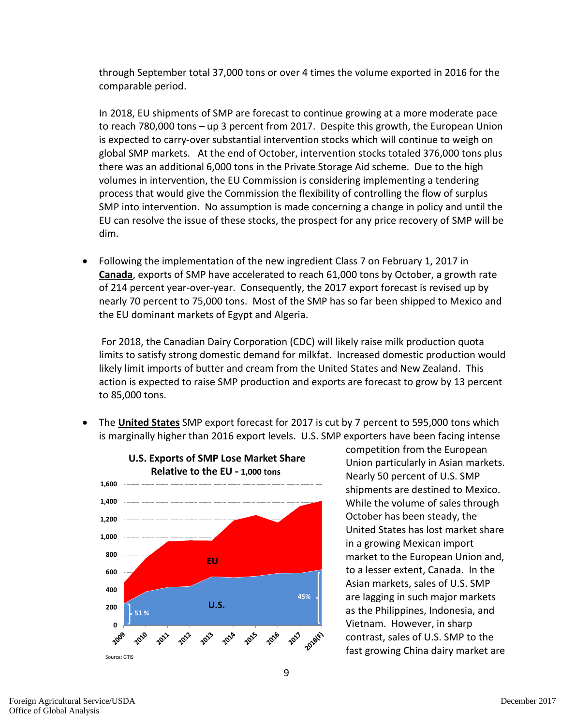through September total 37,000 tons or over 4 times the volume exported in 2016 for the comparable period.

In 2018, EU shipments of SMP are forecast to continue growing at a more moderate pace to reach 780,000 tons – up 3 percent from 2017. Despite this growth, the European Union is expected to carry-over substantial intervention stocks which will continue to weigh on global SMP markets. At the end of October, intervention stocks totaled 376,000 tons plus there was an additional 6,000 tons in the Private Storage Aid scheme. Due to the high volumes in intervention, the EU Commission is considering implementing a tendering process that would give the Commission the flexibility of controlling the flow of surplus SMP into intervention. No assumption is made concerning a change in policy and until the EU can resolve the issue of these stocks, the prospect for any price recovery of SMP will be dim.

• Following the implementation of the new ingredient Class 7 on February 1, 2017 in **Canada**, exports of SMP have accelerated to reach 61,000 tons by October, a growth rate of 214 percent year-over-year. Consequently, the 2017 export forecast is revised up by nearly 70 percent to 75,000 tons. Most of the SMP has so far been shipped to Mexico and the EU dominant markets of Egypt and Algeria.

For 2018, the Canadian Dairy Corporation (CDC) will likely raise milk production quota limits to satisfy strong domestic demand for milkfat. Increased domestic production would likely limit imports of butter and cream from the United States and New Zealand. This action is expected to raise SMP production and exports are forecast to grow by 13 percent to 85,000 tons.

• The **United States** SMP export forecast for 2017 is cut by 7 percent to 595,000 tons which is marginally higher than 2016 export levels. U.S. SMP exporters have been facing intense



competition from the European Union particularly in Asian markets. Nearly 50 percent of U.S. SMP shipments are destined to Mexico. While the volume of sales through October has been steady, the United States has lost market share in a growing Mexican import market to the European Union and, to a lesser extent, Canada. In the Asian markets, sales of U.S. SMP are lagging in such major markets as the Philippines, Indonesia, and Vietnam. However, in sharp contrast, sales of U.S. SMP to the fast growing China dairy market are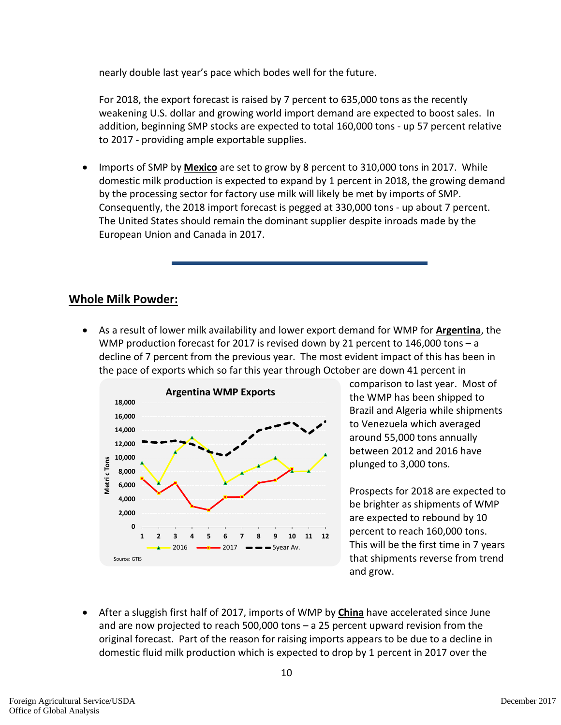nearly double last year's pace which bodes well for the future.

For 2018, the export forecast is raised by 7 percent to 635,000 tons as the recently weakening U.S. dollar and growing world import demand are expected to boost sales. In addition, beginning SMP stocks are expected to total 160,000 tons - up 57 percent relative to 2017 - providing ample exportable supplies.

• Imports of SMP by **Mexico** are set to grow by 8 percent to 310,000 tons in 2017. While domestic milk production is expected to expand by 1 percent in 2018, the growing demand by the processing sector for factory use milk will likely be met by imports of SMP. Consequently, the 2018 import forecast is pegged at 330,000 tons - up about 7 percent. The United States should remain the dominant supplier despite inroads made by the European Union and Canada in 2017.

## **Whole Milk Powder:**

• As a result of lower milk availability and lower export demand for WMP for **Argentina**, the WMP production forecast for 2017 is revised down by 21 percent to 146,000 tons – a decline of 7 percent from the previous year. The most evident impact of this has been in the pace of exports which so far this year through October are down 41 percent in



comparison to last year. Most of the WMP has been shipped to Brazil and Algeria while shipments to Venezuela which averaged around 55,000 tons annually between 2012 and 2016 have plunged to 3,000 tons.

Prospects for 2018 are expected to be brighter as shipments of WMP are expected to rebound by 10 percent to reach 160,000 tons. This will be the first time in 7 years that shipments reverse from trend and grow.

• After a sluggish first half of 2017, imports of WMP by **China** have accelerated since June and are now projected to reach 500,000 tons – a 25 percent upward revision from the original forecast. Part of the reason for raising imports appears to be due to a decline in domestic fluid milk production which is expected to drop by 1 percent in 2017 over the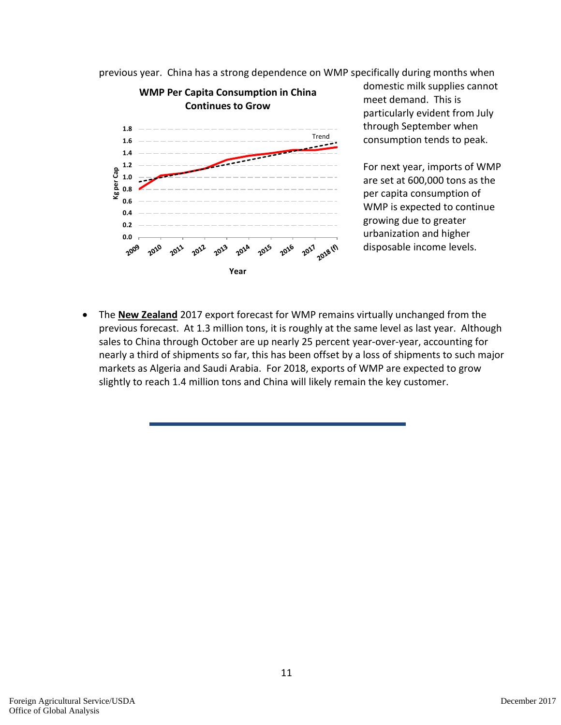previous year. China has a strong dependence on WMP specifically during months when



domestic milk supplies cannot meet demand. This is particularly evident from July through September when consumption tends to peak.

For next year, imports of WMP are set at 600,000 tons as the per capita consumption of WMP is expected to continue growing due to greater urbanization and higher disposable income levels.

• The **New Zealand** 2017 export forecast for WMP remains virtually unchanged from the previous forecast. At 1.3 million tons, it is roughly at the same level as last year. Although sales to China through October are up nearly 25 percent year-over-year, accounting for nearly a third of shipments so far, this has been offset by a loss of shipments to such major markets as Algeria and Saudi Arabia. For 2018, exports of WMP are expected to grow slightly to reach 1.4 million tons and China will likely remain the key customer.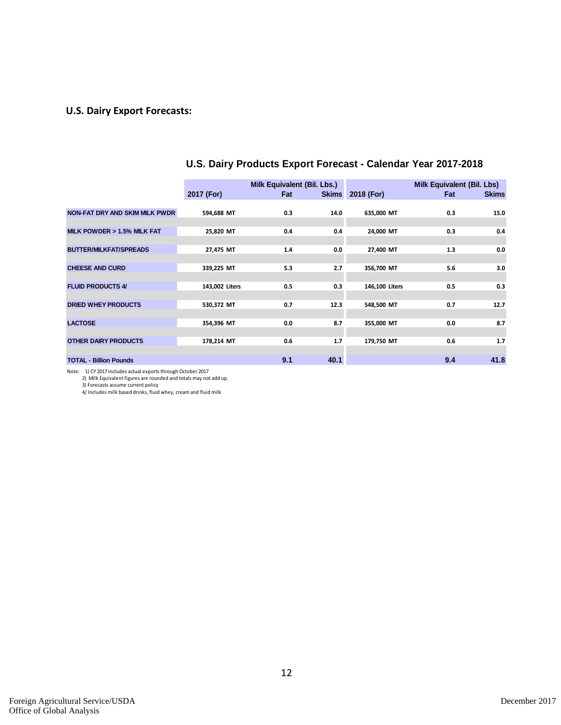## **U.S. Dairy Export Forecasts:**

|                                       |                | Milk Equivalent (Bil. Lbs.) |              |                | Milk Equivalent (Bil. Lbs) |              |
|---------------------------------------|----------------|-----------------------------|--------------|----------------|----------------------------|--------------|
|                                       | 2017 (For)     | Fat                         | <b>Skims</b> | 2018 (For)     | Fat                        | <b>Skims</b> |
|                                       |                |                             |              |                |                            |              |
| <b>NON-FAT DRY AND SKIM MILK PWDR</b> | 594,688 MT     | 0.3                         | 14.0         | 635,000 MT     | 0.3                        | 15.0         |
|                                       |                |                             |              |                |                            |              |
| MILK POWDER > 1.5% MILK FAT           | 25,820 MT      | 0.4                         | 0.4          | 24,000 MT      | 0.3                        | 0.4          |
|                                       |                |                             |              |                |                            |              |
| <b>BUTTER/MILKFAT/SPREADS</b>         | 27,475 MT      | 1.4                         | 0.0          | 27,400 MT      | 1.3                        | 0.0          |
|                                       |                |                             |              |                |                            |              |
| <b>CHEESE AND CURD</b>                | 339,225 MT     | 5.3                         | 2.7          | 356,700 MT     | 5.6                        | 3.0          |
|                                       |                |                             |              |                |                            |              |
| <b>FLUID PRODUCTS 4/</b>              | 143,002 Liters | 0.5                         | 0.3          | 146,100 Liters | 0.5                        | 0.3          |
|                                       |                |                             |              |                |                            |              |
| <b>DRIED WHEY PRODUCTS</b>            | 530,372 MT     | 0.7                         | 12.3         | 548,500 MT     | 0.7                        | 12.7         |
|                                       |                |                             |              |                |                            |              |
| <b>LACTOSE</b>                        | 354,396 MT     | 0.0                         | 8.7          | 355,000 MT     | 0.0                        | 8.7          |
|                                       |                |                             |              |                |                            |              |
| <b>OTHER DAIRY PRODUCTS</b>           | 178,214 MT     | 0.6                         | 1.7          | 179,750 MT     | 0.6                        | 1.7          |
|                                       |                |                             |              |                |                            |              |
| <b>TOTAL - Billion Pounds</b>         |                | 9.1                         | 40.1         |                | 9.4                        | 41.8         |
|                                       |                |                             |              |                |                            |              |

## **U.S. Dairy Products Export Forecast - Calendar Year 2017-2018**

Note: 1) CY 2017 includes actual exports through October 2017<br>2) Milk Equivalent figures are rounded and totals may not add up.<br>3) Forecasts assume current policy<br>4/ Includes milk based drinks, fluid whey, cream and fluid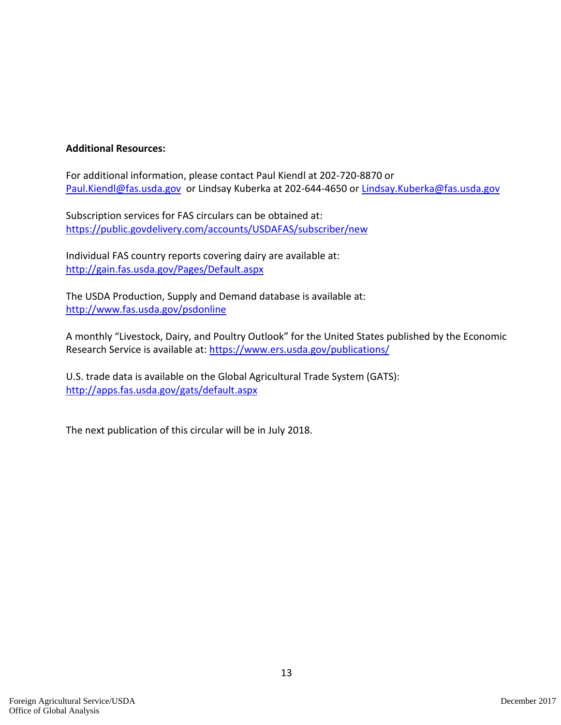## **Additional Resources:**

For additional information, please contact Paul Kiendl at 202-720-8870 or [Paul.Kiendl@fas.usda.gov](mailto:Paul.Kiendl@fas.usda.gov) or Lindsay Kuberka at 202-644-4650 or [Lindsay.Kuberka@fas.usda.gov](mailto:Lindsay.Kuberka@fas.usda.gov)

Subscription services for FAS circulars can be obtained at: <https://public.govdelivery.com/accounts/USDAFAS/subscriber/new>

Individual FAS country reports covering dairy are available at: <http://gain.fas.usda.gov/Pages/Default.aspx>

The USDA Production, Supply and Demand database is available at: <http://www.fas.usda.gov/psdonline>

A monthly "Livestock, Dairy, and Poultry Outlook" for the United States published by the Economic Research Service is available at: <https://www.ers.usda.gov/publications/>

U.S. trade data is available on the Global Agricultural Trade System (GATS): <http://apps.fas.usda.gov/gats/default.aspx>

The next publication of this circular will be in July 2018.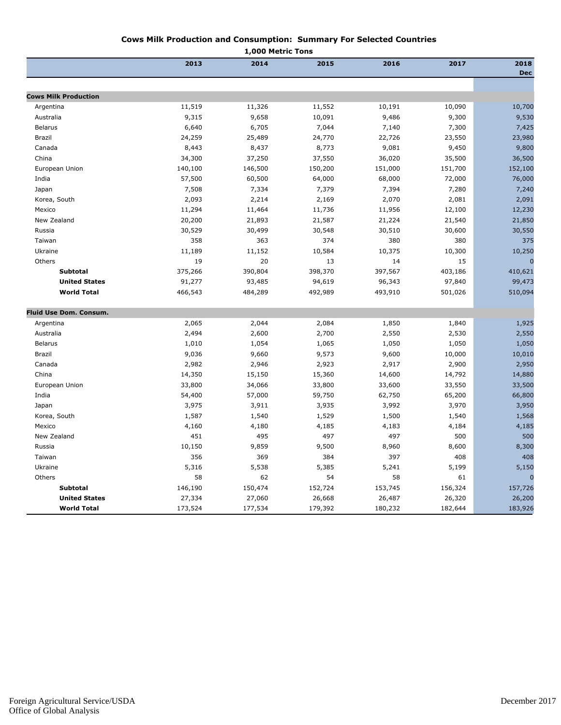#### **Cows Milk Production and Consumption: Summary For Selected Countries**

|                             |         | 1,000 Metric Tons |         |         |         |                    |
|-----------------------------|---------|-------------------|---------|---------|---------|--------------------|
|                             | 2013    | 2014              | 2015    | 2016    | 2017    | 2018<br><b>Dec</b> |
|                             |         |                   |         |         |         |                    |
| <b>Cows Milk Production</b> |         |                   |         |         |         |                    |
| Argentina                   | 11,519  | 11,326            | 11,552  | 10,191  | 10,090  | 10,700             |
| Australia                   | 9,315   | 9,658             | 10,091  | 9,486   | 9,300   | 9,530              |
| <b>Belarus</b>              | 6,640   | 6,705             | 7,044   | 7,140   | 7,300   | 7,425              |
| Brazil                      | 24,259  | 25,489            | 24,770  | 22,726  | 23,550  | 23,980             |
| Canada                      | 8,443   | 8,437             | 8,773   | 9,081   | 9,450   | 9,800              |
| China                       | 34,300  | 37,250            | 37,550  | 36,020  | 35,500  | 36,500             |
| European Union              | 140,100 | 146,500           | 150,200 | 151,000 | 151,700 | 152,100            |
| India                       | 57,500  | 60,500            | 64,000  | 68,000  | 72,000  | 76,000             |
| Japan                       | 7,508   | 7,334             | 7,379   | 7,394   | 7,280   | 7,240              |
| Korea, South                | 2,093   | 2,214             | 2,169   | 2,070   | 2,081   | 2,091              |
| Mexico                      | 11,294  | 11,464            | 11,736  | 11,956  | 12,100  | 12,230             |
| New Zealand                 | 20,200  | 21,893            | 21,587  | 21,224  | 21,540  | 21,850             |
| Russia                      | 30,529  | 30,499            | 30,548  | 30,510  | 30,600  | 30,550             |
| Taiwan                      | 358     | 363               | 374     | 380     | 380     | 375                |
| Ukraine                     | 11,189  | 11,152            | 10,584  | 10,375  | 10,300  | 10,250             |
| Others                      | 19      | 20                | 13      | 14      | 15      | $\Omega$           |
| <b>Subtotal</b>             | 375,266 | 390,804           | 398,370 | 397,567 | 403,186 | 410,621            |
| <b>United States</b>        | 91,277  | 93,485            | 94,619  | 96,343  | 97,840  | 99,473             |
| <b>World Total</b>          | 466,543 | 484,289           | 492,989 | 493,910 | 501,026 | 510,094            |
| Fluid Use Dom. Consum.      |         |                   |         |         |         |                    |
| Argentina                   | 2,065   | 2,044             | 2,084   | 1,850   | 1,840   | 1,925              |
| Australia                   | 2,494   | 2,600             | 2,700   | 2,550   | 2,530   | 2,550              |
| <b>Belarus</b>              | 1,010   | 1,054             | 1,065   | 1,050   | 1,050   | 1,050              |
| Brazil                      | 9,036   | 9,660             | 9,573   | 9,600   | 10,000  | 10,010             |
| Canada                      | 2,982   | 2,946             | 2,923   | 2,917   | 2,900   | 2,950              |
| China                       | 14,350  | 15,150            | 15,360  | 14,600  | 14,792  | 14,880             |
| European Union              | 33,800  | 34,066            | 33,800  | 33,600  | 33,550  | 33,500             |
| India                       | 54,400  | 57,000            | 59,750  | 62,750  | 65,200  | 66,800             |
| Japan                       | 3,975   | 3,911             | 3,935   | 3,992   | 3,970   | 3,950              |
| Korea, South                | 1,587   | 1,540             | 1,529   | 1,500   | 1,540   | 1,568              |
| Mexico                      | 4,160   | 4,180             | 4,185   | 4,183   | 4,184   | 4,185              |
| New Zealand                 | 451     | 495               | 497     | 497     | 500     | 500                |
| Russia                      | 10,150  | 9,859             | 9,500   | 8,960   | 8,600   | 8,300              |
| Taiwan                      | 356     | 369               | 384     | 397     | 408     | 408                |
| Ukraine                     | 5,316   | 5,538             | 5,385   | 5,241   | 5,199   | 5,150              |
| Others                      | 58      | 62                | 54      | 58      | 61      |                    |
| <b>Subtotal</b>             | 146,190 | 150,474           | 152,724 | 153,745 | 156,324 | 157,726            |
| <b>United States</b>        | 27,334  | 27,060            | 26,668  | 26,487  | 26,320  | 26,200             |
| <b>World Total</b>          | 173,524 | 177,534           | 179,392 | 180,232 | 182,644 | 183,926            |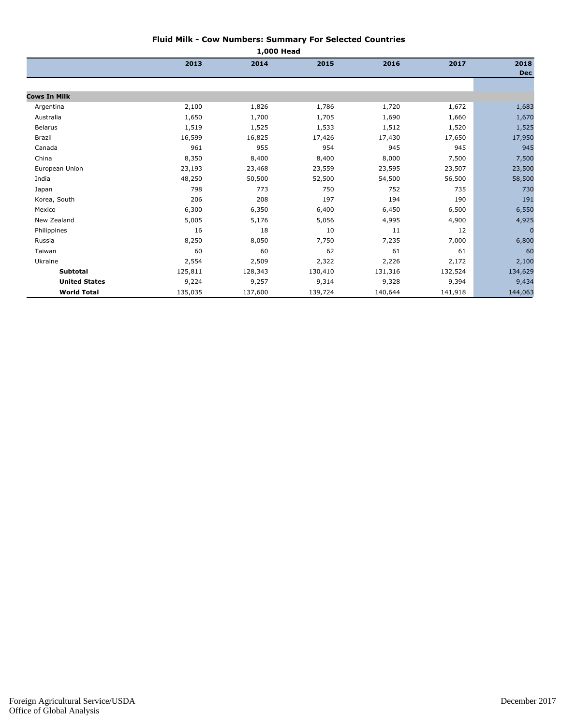#### **Fluid Milk - Cow Numbers: Summary For Selected Countries**

| 1,000 Head           |         |         |         |         |         |                    |
|----------------------|---------|---------|---------|---------|---------|--------------------|
|                      | 2013    | 2014    | 2015    | 2016    | 2017    | 2018<br><b>Dec</b> |
|                      |         |         |         |         |         |                    |
| <b>Cows In Milk</b>  |         |         |         |         |         |                    |
| Argentina            | 2,100   | 1,826   | 1,786   | 1,720   | 1,672   | 1,683              |
| Australia            | 1,650   | 1,700   | 1,705   | 1,690   | 1,660   | 1,670              |
| <b>Belarus</b>       | 1,519   | 1,525   | 1,533   | 1,512   | 1,520   | 1,525              |
| Brazil               | 16,599  | 16,825  | 17,426  | 17,430  | 17,650  | 17,950             |
| Canada               | 961     | 955     | 954     | 945     | 945     | 945                |
| China                | 8,350   | 8,400   | 8,400   | 8,000   | 7,500   | 7,500              |
| European Union       | 23,193  | 23,468  | 23,559  | 23,595  | 23,507  | 23,500             |
| India                | 48,250  | 50,500  | 52,500  | 54,500  | 56,500  | 58,500             |
| Japan                | 798     | 773     | 750     | 752     | 735     | 730                |
| Korea, South         | 206     | 208     | 197     | 194     | 190     | 191                |
| Mexico               | 6,300   | 6,350   | 6,400   | 6,450   | 6,500   | 6,550              |
| New Zealand          | 5,005   | 5,176   | 5,056   | 4,995   | 4,900   | 4,925              |
| Philippines          | 16      | 18      | 10      | 11      | 12      | $\sqrt{ }$         |
| Russia               | 8,250   | 8,050   | 7,750   | 7,235   | 7,000   | 6,800              |
| Taiwan               | 60      | 60      | 62      | 61      | 61      | 60                 |
| Ukraine              | 2,554   | 2,509   | 2,322   | 2,226   | 2,172   | 2,100              |
| <b>Subtotal</b>      | 125,811 | 128,343 | 130,410 | 131,316 | 132,524 | 134,629            |
| <b>United States</b> | 9,224   | 9,257   | 9,314   | 9,328   | 9,394   | 9,434              |
| <b>World Total</b>   | 135,035 | 137,600 | 139,724 | 140,644 | 141,918 | 144,063            |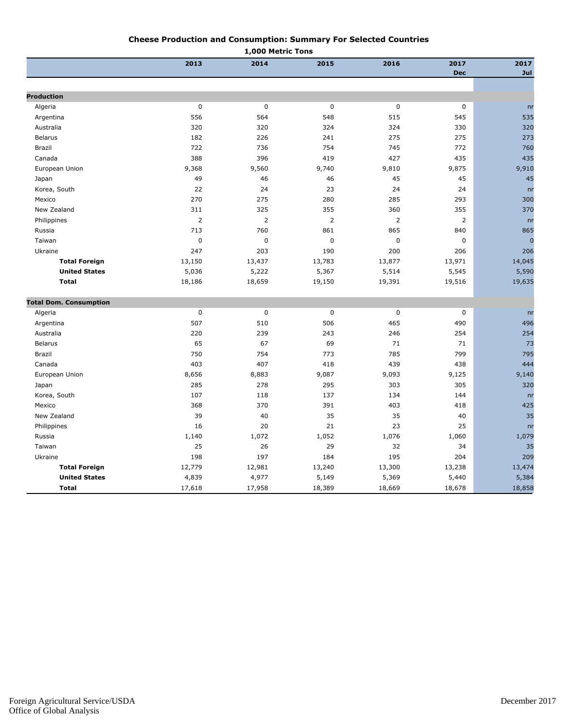#### **Cheese Production and Consumption: Summary For Selected Countries**

|                               |                | 1,000 Metric Tons |                |                |                |                |
|-------------------------------|----------------|-------------------|----------------|----------------|----------------|----------------|
|                               | 2013           | 2014              | 2015           | 2016           | 2017           | 2017           |
|                               |                |                   |                |                | <b>Dec</b>     | Jul            |
|                               |                |                   |                |                |                |                |
| <b>Production</b>             |                |                   |                |                |                |                |
| Algeria                       | $\mathbf 0$    | $\pmb{0}$         | $\pmb{0}$      | $\pmb{0}$      | $\pmb{0}$      | n <b>r</b>     |
| Argentina                     | 556            | 564               | 548            | 515            | 545            | 535            |
| Australia                     | 320            | 320               | 324            | 324            | 330            | 320            |
| <b>Belarus</b>                | 182            | 226               | 241            | 275            | 275            | 273            |
| Brazil                        | 722            | 736               | 754            | 745            | 772            | 760            |
| Canada                        | 388            | 396               | 419            | 427            | 435            | 435            |
| European Union                | 9,368          | 9,560             | 9,740          | 9,810          | 9,875          | 9,910          |
| Japan                         | 49             | 46                | 46             | 45             | 45             | 45             |
| Korea, South                  | 22             | 24                | 23             | 24             | 24             | n <sub>r</sub> |
| Mexico                        | 270            | 275               | 280            | 285            | 293            | 300            |
| New Zealand                   | 311            | 325               | 355            | 360            | 355            | 370            |
| Philippines                   | $\overline{2}$ | $\overline{2}$    | $\overline{2}$ | $\overline{2}$ | $\overline{2}$ | nr             |
| Russia                        | 713            | 760               | 861            | 865            | 840            | 865            |
| Taiwan                        | $\mathbf 0$    | $\mathbf 0$       | $\pmb{0}$      | $\pmb{0}$      | $\mathbf 0$    | $\overline{0}$ |
| Ukraine                       | 247            | 203               | 190            | 200            | 206            | 206            |
| <b>Total Foreign</b>          | 13,150         | 13,437            | 13,783         | 13,877         | 13,971         | 14,045         |
| <b>United States</b>          | 5,036          | 5,222             | 5,367          | 5,514          | 5,545          | 5,590          |
| <b>Total</b>                  | 18,186         | 18,659            | 19,150         | 19,391         | 19,516         | 19,635         |
| <b>Total Dom. Consumption</b> |                |                   |                |                |                |                |
| Algeria                       | $\mathbf 0$    | $\pmb{0}$         | $\mathbf 0$    | $\pmb{0}$      | $\mathbf 0$    | n <b>r</b>     |
| Argentina                     | 507            | 510               | 506            | 465            | 490            | 496            |
| Australia                     | 220            | 239               | 243            | 246            | 254            | 254            |
| <b>Belarus</b>                | 65             | 67                | 69             | 71             | 71             | 73             |
| Brazil                        | 750            | 754               | 773            | 785            | 799            | 795            |
| Canada                        | 403            | 407               | 418            | 439            | 438            | 444            |
| European Union                | 8,656          | 8,883             | 9,087          | 9,093          | 9,125          | 9,140          |
| Japan                         | 285            | 278               | 295            | 303            | 305            | 320            |
| Korea, South                  | 107            | 118               | 137            | 134            | 144            | nr             |
| Mexico                        | 368            | 370               | 391            | 403            | 418            | 425            |
| New Zealand                   | 39             | 40                | 35             | 35             | 40             | 35             |
| Philippines                   | 16             | 20                | 21             | 23             | 25             | n <sub>r</sub> |
| Russia                        | 1,140          | 1,072             | 1,052          | 1,076          | 1,060          | 1,079          |
| Taiwan                        | 25             | 26                | 29             | 32             | 34             | 35             |
| Ukraine                       | 198            | 197               | 184            | 195            | 204            | 209            |
| <b>Total Foreign</b>          | 12,779         | 12,981            | 13,240         | 13,300         | 13,238         | 13,474         |
| <b>United States</b>          | 4,839          | 4,977             | 5,149          | 5,369          | 5,440          | 5,384          |
| <b>Total</b>                  | 17,618         | 17,958            | 18,389         | 18,669         | 18,678         | 18,858         |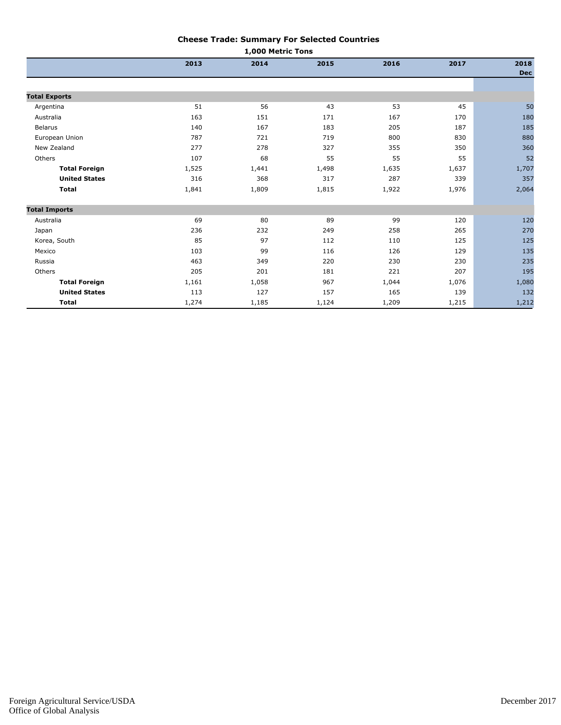#### **Cheese Trade: Summary For Selected Countries**

| 1,000 Metric Tons    |       |       |       |       |       |                    |
|----------------------|-------|-------|-------|-------|-------|--------------------|
|                      | 2013  | 2014  | 2015  | 2016  | 2017  | 2018<br><b>Dec</b> |
|                      |       |       |       |       |       |                    |
| <b>Total Exports</b> |       |       |       |       |       |                    |
| Argentina            | 51    | 56    | 43    | 53    | 45    | 50                 |
| Australia            | 163   | 151   | 171   | 167   | 170   | 180                |
| <b>Belarus</b>       | 140   | 167   | 183   | 205   | 187   | 185                |
| European Union       | 787   | 721   | 719   | 800   | 830   | 880                |
| New Zealand          | 277   | 278   | 327   | 355   | 350   | 360                |
| Others               | 107   | 68    | 55    | 55    | 55    | 52                 |
| <b>Total Foreign</b> | 1,525 | 1,441 | 1,498 | 1,635 | 1,637 | 1,707              |
| <b>United States</b> | 316   | 368   | 317   | 287   | 339   | 357                |
| <b>Total</b>         | 1,841 | 1,809 | 1,815 | 1,922 | 1,976 | 2,064              |
| <b>Total Imports</b> |       |       |       |       |       |                    |
| Australia            | 69    | 80    | 89    | 99    | 120   | 120                |
| Japan                | 236   | 232   | 249   | 258   | 265   | 270                |
| Korea, South         | 85    | 97    | 112   | 110   | 125   | 125                |
| Mexico               | 103   | 99    | 116   | 126   | 129   | 135                |
| Russia               | 463   | 349   | 220   | 230   | 230   | 235                |
| Others               | 205   | 201   | 181   | 221   | 207   | 195                |
| <b>Total Foreign</b> | 1,161 | 1,058 | 967   | 1,044 | 1,076 | 1,080              |
| <b>United States</b> | 113   | 127   | 157   | 165   | 139   | 132                |
| <b>Total</b>         | 1,274 | 1,185 | 1,124 | 1,209 | 1,215 | 1,212              |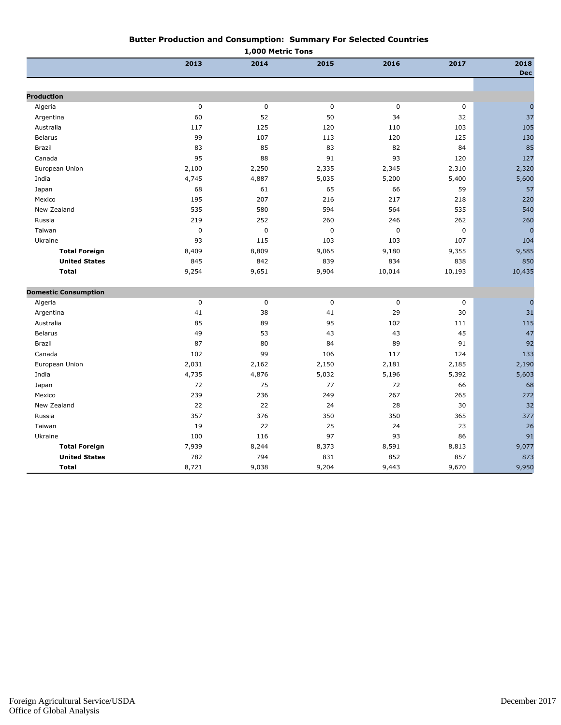#### **Butter Production and Consumption: Summary For Selected Countries**

|                             | 1,000 Metric Tons |             |           |             |             |                    |
|-----------------------------|-------------------|-------------|-----------|-------------|-------------|--------------------|
|                             | 2013              | 2014        | 2015      | 2016        | 2017        | 2018<br><b>Dec</b> |
|                             |                   |             |           |             |             |                    |
| <b>Production</b>           |                   |             |           |             |             |                    |
| Algeria                     | $\mathbf 0$       | $\pmb{0}$   | $\pmb{0}$ | $\mathbf 0$ | $\mathbf 0$ | $\mathbf{0}$<br>37 |
| Argentina                   | 60                | 52          | 50        | 34          | 32          |                    |
| Australia                   | 117               | 125         | 120       | 110         | 103         | 105                |
| <b>Belarus</b>              | 99                | 107         | 113       | 120         | 125         | 130                |
| Brazil                      | 83                | 85          | 83        | 82          | 84          | 85                 |
| Canada                      | 95                | 88          | 91        | 93          | 120         | 127                |
| European Union              | 2,100             | 2,250       | 2,335     | 2,345       | 2,310       | 2,320              |
| India                       | 4,745             | 4,887       | 5,035     | 5,200       | 5,400       | 5,600              |
| Japan                       | 68                | 61          | 65        | 66          | 59          | 57                 |
| Mexico                      | 195               | 207         | 216       | 217         | 218         | 220                |
| New Zealand                 | 535               | 580         | 594       | 564         | 535         | 540                |
| Russia                      | 219               | 252         | 260       | 246         | 262         | 260                |
| Taiwan                      | $\pmb{0}$         | $\mathbf 0$ | $\pmb{0}$ | $\mathbf 0$ | $\mathbf 0$ | $\overline{0}$     |
| Ukraine                     | 93                | 115         | 103       | 103         | 107         | 104                |
| <b>Total Foreign</b>        | 8,409             | 8,809       | 9,065     | 9,180       | 9,355       | 9,585              |
| <b>United States</b>        | 845               | 842         | 839       | 834         | 838         | 850                |
| <b>Total</b>                | 9,254             | 9,651       | 9,904     | 10,014      | 10,193      | 10,435             |
| <b>Domestic Consumption</b> |                   |             |           |             |             |                    |
| Algeria                     | $\mathbf 0$       | 0           | $\pmb{0}$ | $\pmb{0}$   | 0           | $\mathbf 0$        |
| Argentina                   | 41                | 38          | 41        | 29          | 30          | 31                 |
| Australia                   | 85                | 89          | 95        | 102         | 111         | 115                |
| <b>Belarus</b>              | 49                | 53          | 43        | 43          | 45          | 47                 |
| Brazil                      | 87                | 80          | 84        | 89          | 91          | 92                 |
| Canada                      | 102               | 99          | 106       | 117         | 124         | 133                |
| European Union              | 2,031             | 2,162       | 2,150     | 2,181       | 2,185       | 2,190              |
| India                       | 4,735             | 4,876       | 5,032     | 5,196       | 5,392       | 5,603              |
| Japan                       | 72                | 75          | 77        | 72          | 66          | 68                 |
| Mexico                      | 239               | 236         | 249       | 267         | 265         | 272                |
| New Zealand                 | 22                | 22          | 24        | 28          | 30          | 32                 |
| Russia                      | 357               | 376         | 350       | 350         | 365         | 377                |
| Taiwan                      | 19                | 22          | 25        | 24          | 23          | 26                 |
| Ukraine                     | 100               | 116         | 97        | 93          | 86          | 91                 |
| <b>Total Foreign</b>        | 7,939             | 8,244       | 8,373     | 8,591       | 8,813       | 9,077              |
| <b>United States</b>        | 782               | 794         | 831       | 852         | 857         | 873                |
| <b>Total</b>                | 8,721             | 9,038       | 9,204     | 9,443       | 9,670       | 9,950              |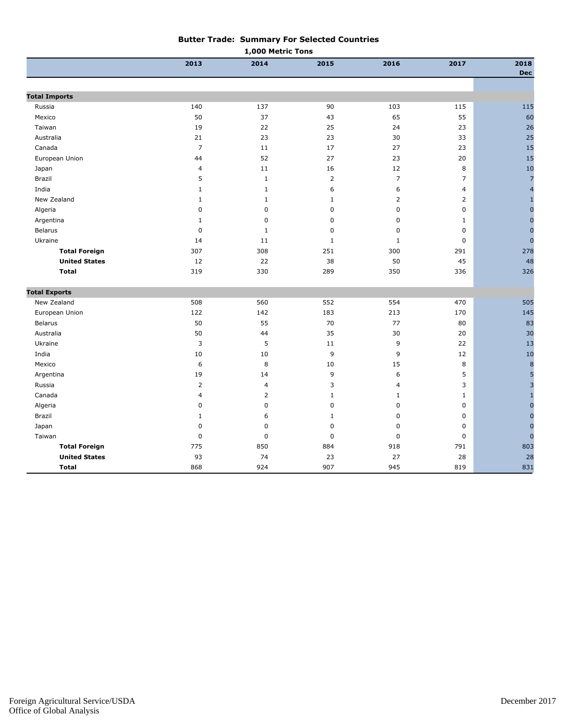| <b>Butter Trade: Summary For Selected Countries</b> |
|-----------------------------------------------------|
| 1,000 Metric Tons                                   |

|                      | 2013             | 2014         | 2015           | 2016           | 2017           | 2018<br><b>Dec</b>      |
|----------------------|------------------|--------------|----------------|----------------|----------------|-------------------------|
|                      |                  |              |                |                |                |                         |
| <b>Total Imports</b> |                  |              |                |                |                |                         |
| Russia               | 140              | 137          | 90             | 103            | 115            | 115                     |
| Mexico               | 50               | 37           | 43             | 65             | 55             | 60                      |
| Taiwan               | 19               | 22           | 25             | 24             | 23             | 26                      |
| Australia            | 21               | 23           | 23             | 30             | 33             | 25                      |
| Canada               | $\overline{7}$   | 11           | 17             | 27             | 23             | 15                      |
| European Union       | 44               | 52           | 27             | 23             | 20             | 15                      |
| Japan                | $\overline{4}$   | 11           | 16             | 12             | 8              | 10                      |
| Brazil               | 5                | $\mathbf{1}$ | $\overline{2}$ | $\overline{7}$ | $\overline{7}$ | $\overline{z}$          |
| India                | $\mathbf 1$      | $\mathbf{1}$ | 6              | 6              | $\overline{4}$ | $\overline{a}$          |
| New Zealand          | $\mathbf{1}$     | 1            | $\mathbf{1}$   | $\overline{2}$ | $\overline{2}$ | $\mathbf{1}$            |
| Algeria              | $\mathbf 0$      | 0            | $\mathbf 0$    | $\pmb{0}$      | 0              | $\mathbf 0$             |
| Argentina            | $\mathbf 1$      | 0            | $\pmb{0}$      | $\pmb{0}$      | $\mathbf 1$    | $\mathbf 0$             |
| <b>Belarus</b>       | $\mathbf 0$      | 1            | 0              | $\mathbf 0$    | $\mathbf 0$    | $\mathbf{0}$            |
| Ukraine              | 14               | 11           | $1\,$          | $\,1\,$        | $\mathbf 0$    | $\mathbf{0}$            |
| <b>Total Foreign</b> | 307              | 308          | 251            | 300            | 291            | 278                     |
| <b>United States</b> | 12               | 22           | 38             | 50             | 45             | 48                      |
| <b>Total</b>         | 319              | 330          | 289            | 350            | 336            | 326                     |
| <b>Total Exports</b> |                  |              |                |                |                |                         |
| New Zealand          | 508              | 560          | 552            | 554            | 470            | 505                     |
| European Union       | 122              | 142          | 183            | 213            | 170            | 145                     |
| Belarus              | 50               | 55           | 70             | 77             | 80             | 83                      |
| Australia            | 50               | 44           | 35             | 30             | 20             | 30                      |
| Ukraine              | 3                | 5            | 11             | 9              | 22             | 13                      |
| India                | 10               | 10           | 9              | 9              | 12             | 10                      |
| Mexico               | 6                | 8            | 10             | 15             | 8              | $\boldsymbol{8}$        |
| Argentina            | 19               | 14           | 9              | 6              | 5              | $\overline{5}$          |
| Russia               | $\overline{2}$   | 4            | 3              | $\overline{4}$ | 3              | $\overline{\mathbf{3}}$ |
| Canada               | $\overline{4}$   | 2            | $\mathbf{1}$   | $\mathbf{1}$   | $\mathbf 1$    | $\overline{1}$          |
| Algeria              | $\boldsymbol{0}$ | 0            | $\pmb{0}$      | $\pmb{0}$      | 0              | $\mathbf 0$             |
| Brazil               | $\mathbf{1}$     | 6            | $\mathbf{1}$   | $\pmb{0}$      | $\mathbf 0$    | $\mathbf 0$             |
| Japan                | $\mathbf 0$      | $\mathbf 0$  | $\pmb{0}$      | $\pmb{0}$      | $\mathbf 0$    | $\mathbf{0}$            |
| Taiwan               | $\mathbf 0$      | $\mathbf 0$  | $\pmb{0}$      | $\pmb{0}$      | $\mathbf 0$    | $\overline{0}$          |
| <b>Total Foreign</b> | 775              | 850          | 884            | 918            | 791            | 803                     |
| <b>United States</b> | 93               | 74           | 23             | 27             | 28             | 28                      |
| <b>Total</b>         | 868              | 924          | 907            | 945            | 819            | 831                     |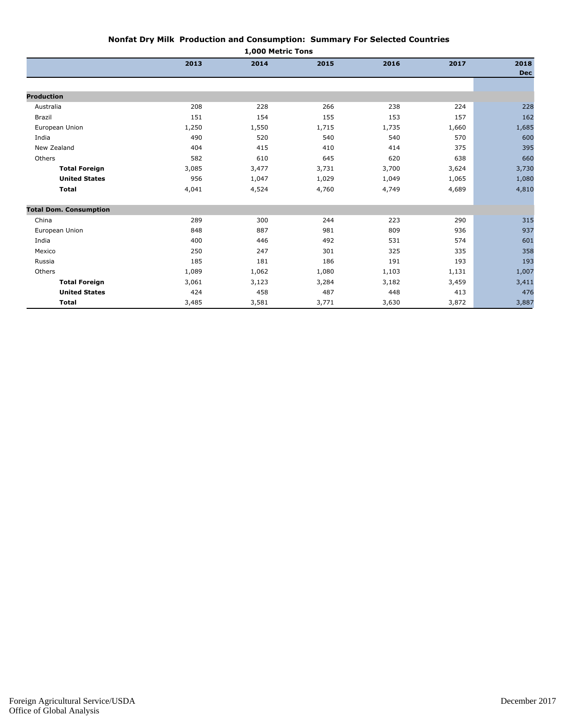| Nonfat Dry Milk  Production and Consumption:  Summary For Selected Countries |  |  |
|------------------------------------------------------------------------------|--|--|
| 1.000 Metric Tone                                                            |  |  |

| <b>1,000 MELLIC TOUS</b>      |       |       |       |       |       |                    |
|-------------------------------|-------|-------|-------|-------|-------|--------------------|
|                               | 2013  | 2014  | 2015  | 2016  | 2017  | 2018<br><b>Dec</b> |
|                               |       |       |       |       |       |                    |
| <b>Production</b>             |       |       |       |       |       |                    |
| Australia                     | 208   | 228   | 266   | 238   | 224   | 228                |
| Brazil                        | 151   | 154   | 155   | 153   | 157   | 162                |
| European Union                | 1,250 | 1,550 | 1,715 | 1,735 | 1,660 | 1,685              |
| India                         | 490   | 520   | 540   | 540   | 570   | 600                |
| New Zealand                   | 404   | 415   | 410   | 414   | 375   | 395                |
| Others                        | 582   | 610   | 645   | 620   | 638   | 660                |
| <b>Total Foreign</b>          | 3,085 | 3,477 | 3,731 | 3,700 | 3,624 | 3,730              |
| <b>United States</b>          | 956   | 1,047 | 1,029 | 1,049 | 1,065 | 1,080              |
| <b>Total</b>                  | 4,041 | 4,524 | 4,760 | 4,749 | 4,689 | 4,810              |
| <b>Total Dom. Consumption</b> |       |       |       |       |       |                    |
| China                         | 289   | 300   | 244   | 223   | 290   | 315                |
| European Union                | 848   | 887   | 981   | 809   | 936   | 937                |
| India                         | 400   | 446   | 492   | 531   | 574   | 601                |
| Mexico                        | 250   | 247   | 301   | 325   | 335   | 358                |
| Russia                        | 185   | 181   | 186   | 191   | 193   | 193                |
| Others                        | 1,089 | 1,062 | 1,080 | 1,103 | 1,131 | 1,007              |
| <b>Total Foreign</b>          | 3,061 | 3,123 | 3,284 | 3,182 | 3,459 | 3,411              |
| <b>United States</b>          | 424   | 458   | 487   | 448   | 413   | 476                |
| <b>Total</b>                  | 3,485 | 3,581 | 3,771 | 3,630 | 3,872 | 3,887              |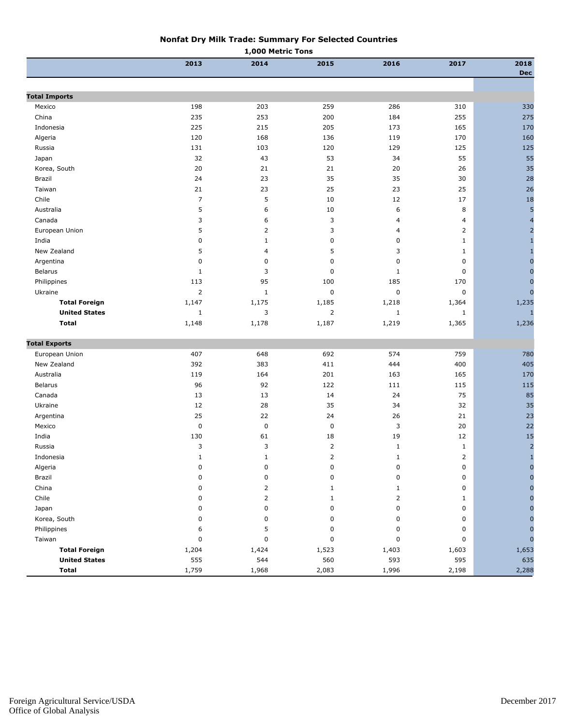#### **Nonfat Dry Milk Trade: Summary For Selected Countries**

| 2013<br>2014<br>2016<br>2017<br>2015<br>2018<br><b>Dec</b><br><b>Total Imports</b><br>198<br>203<br>259<br>286<br>Mexico<br>310<br>235<br>253<br>200<br>184<br>255<br>275<br>China<br>225<br>215<br>205<br>173<br>165<br>Indonesia<br>120<br>168<br>136<br>119<br>170<br>Algeria<br>131<br>103<br>129<br>125<br>Russia<br>120<br>32<br>53<br>55<br>43<br>34<br>Japan<br>20<br>21<br>20<br>Korea, South<br>21<br>26<br>24<br>35<br>35<br>Brazil<br>23<br>30<br>23<br>25<br>23<br>25<br>Taiwan<br>21<br>$\overline{7}$<br>5<br>Chile<br>10<br>12<br>17<br>5<br>6<br>10<br>6<br>Australia<br>8<br>$\overline{\mathbf{4}}$<br>3<br>3<br>Canada<br>6<br>$\overline{4}$<br>4<br>5<br>2<br>3<br>$\overline{2}$<br>European Union<br>$\overline{4}$<br>0<br>$\mathbf{1}$<br>India<br>$\mathbf 0$<br>0<br>$\mathbf{1}$<br>$\mathbf{1}$<br>5<br>5<br>3<br>New Zealand<br>4<br>$\mathbf{1}$<br>$\mathbf{1}$<br>0<br>Argentina<br>$\mathbf 0$<br>0<br>$\mathbf 0$<br>0<br>3<br>$\pmb{0}$<br><b>Belarus</b><br>$\mathbf{1}$<br>$\mathbf{1}$<br>0<br>95<br>185<br>Philippines<br>113<br>100<br>170<br>2<br>$\mathbf{1}$<br>$\pmb{0}$<br>$\pmb{0}$<br>Ukraine<br>0<br>1,147<br>1,175<br><b>Total Foreign</b><br>1,185<br>1,218<br>1,364<br><b>United States</b><br>3<br>$\overline{2}$<br>$\mathbf{1}$<br>$\mathbf{1}$<br>$\mathbf{1}$<br><b>Total</b><br>1,148<br>1,178<br>1,219<br>1,187<br>1,365<br><b>Total Exports</b><br>407<br>648<br>692<br>574<br>European Union<br>759<br>New Zealand<br>392<br>400<br>383<br>411<br>444<br>119<br>164<br>201<br>165<br>170<br>Australia<br>163<br><b>Belarus</b><br>96<br>92<br>122<br>111<br>115<br>13<br>75<br>Canada<br>13<br>14<br>24<br>35<br>Ukraine<br>12<br>28<br>34<br>32<br>25<br>Argentina<br>22<br>24<br>26<br>21<br>$\pmb{0}$<br>$\pmb{0}$<br>$\pmb{0}$<br>3<br>Mexico<br>20<br>India<br>130<br>61<br>18<br>19<br>12<br>3<br>3<br>2<br>$\mathbf{1}$<br>Russia<br>$\mathbf{1}$<br>Indonesia<br>2<br>1<br>1<br>1<br>2<br>Algeria<br>$\pmb{0}$<br>0<br>0<br>0<br>0<br>Brazil<br>0<br>$\pmb{0}$<br>$\mathbf 0$<br>0<br>0<br>China<br>0<br>2<br>1<br>1<br>0<br>Chile<br>$\mathbf 0$<br>2<br>$\mathbf{1}$<br>$\overline{2}$<br>1<br>Japan<br>0<br>0<br>$\mathbf 0$<br>0<br>0<br>Korea, South<br>0<br>0<br>$\mathbf 0$<br>0<br>0<br>Philippines<br>5<br>6<br>0<br>0<br>0<br>Taiwan<br>$\mathbf 0$<br>0<br>0<br>$\mathbf 0$<br>0<br>n<br><b>Total Foreign</b><br>1,204<br>1,424<br>1,523<br>1,403<br>1,603<br><b>United States</b><br>555<br>544<br>560<br>593<br>595<br>1,759<br>2,083<br>Total<br>1,968<br>1,996<br>2,198 | 1,000 Metric Tons |  |  |  |  |  |              |
|--------------------------------------------------------------------------------------------------------------------------------------------------------------------------------------------------------------------------------------------------------------------------------------------------------------------------------------------------------------------------------------------------------------------------------------------------------------------------------------------------------------------------------------------------------------------------------------------------------------------------------------------------------------------------------------------------------------------------------------------------------------------------------------------------------------------------------------------------------------------------------------------------------------------------------------------------------------------------------------------------------------------------------------------------------------------------------------------------------------------------------------------------------------------------------------------------------------------------------------------------------------------------------------------------------------------------------------------------------------------------------------------------------------------------------------------------------------------------------------------------------------------------------------------------------------------------------------------------------------------------------------------------------------------------------------------------------------------------------------------------------------------------------------------------------------------------------------------------------------------------------------------------------------------------------------------------------------------------------------------------------------------------------------------------------------------------------------------------------------------------------------------------------------------------------------------------------------------------------------------------------------------------------------------------------------------------------------------------------------------------------------------------------------------------------------------------------------------------------------------------------------------------------------------------------------|-------------------|--|--|--|--|--|--------------|
|                                                                                                                                                                                                                                                                                                                                                                                                                                                                                                                                                                                                                                                                                                                                                                                                                                                                                                                                                                                                                                                                                                                                                                                                                                                                                                                                                                                                                                                                                                                                                                                                                                                                                                                                                                                                                                                                                                                                                                                                                                                                                                                                                                                                                                                                                                                                                                                                                                                                                                                                                              |                   |  |  |  |  |  |              |
|                                                                                                                                                                                                                                                                                                                                                                                                                                                                                                                                                                                                                                                                                                                                                                                                                                                                                                                                                                                                                                                                                                                                                                                                                                                                                                                                                                                                                                                                                                                                                                                                                                                                                                                                                                                                                                                                                                                                                                                                                                                                                                                                                                                                                                                                                                                                                                                                                                                                                                                                                              |                   |  |  |  |  |  |              |
|                                                                                                                                                                                                                                                                                                                                                                                                                                                                                                                                                                                                                                                                                                                                                                                                                                                                                                                                                                                                                                                                                                                                                                                                                                                                                                                                                                                                                                                                                                                                                                                                                                                                                                                                                                                                                                                                                                                                                                                                                                                                                                                                                                                                                                                                                                                                                                                                                                                                                                                                                              |                   |  |  |  |  |  |              |
| 170<br>160<br>125<br>55<br>35<br>28<br>26<br>18<br>5<br>$\overline{2}$<br>$\mathbf 0$<br>$\mathbf{0}$                                                                                                                                                                                                                                                                                                                                                                                                                                                                                                                                                                                                                                                                                                                                                                                                                                                                                                                                                                                                                                                                                                                                                                                                                                                                                                                                                                                                                                                                                                                                                                                                                                                                                                                                                                                                                                                                                                                                                                                                                                                                                                                                                                                                                                                                                                                                                                                                                                                        |                   |  |  |  |  |  | 330          |
|                                                                                                                                                                                                                                                                                                                                                                                                                                                                                                                                                                                                                                                                                                                                                                                                                                                                                                                                                                                                                                                                                                                                                                                                                                                                                                                                                                                                                                                                                                                                                                                                                                                                                                                                                                                                                                                                                                                                                                                                                                                                                                                                                                                                                                                                                                                                                                                                                                                                                                                                                              |                   |  |  |  |  |  |              |
|                                                                                                                                                                                                                                                                                                                                                                                                                                                                                                                                                                                                                                                                                                                                                                                                                                                                                                                                                                                                                                                                                                                                                                                                                                                                                                                                                                                                                                                                                                                                                                                                                                                                                                                                                                                                                                                                                                                                                                                                                                                                                                                                                                                                                                                                                                                                                                                                                                                                                                                                                              |                   |  |  |  |  |  |              |
|                                                                                                                                                                                                                                                                                                                                                                                                                                                                                                                                                                                                                                                                                                                                                                                                                                                                                                                                                                                                                                                                                                                                                                                                                                                                                                                                                                                                                                                                                                                                                                                                                                                                                                                                                                                                                                                                                                                                                                                                                                                                                                                                                                                                                                                                                                                                                                                                                                                                                                                                                              |                   |  |  |  |  |  |              |
|                                                                                                                                                                                                                                                                                                                                                                                                                                                                                                                                                                                                                                                                                                                                                                                                                                                                                                                                                                                                                                                                                                                                                                                                                                                                                                                                                                                                                                                                                                                                                                                                                                                                                                                                                                                                                                                                                                                                                                                                                                                                                                                                                                                                                                                                                                                                                                                                                                                                                                                                                              |                   |  |  |  |  |  |              |
|                                                                                                                                                                                                                                                                                                                                                                                                                                                                                                                                                                                                                                                                                                                                                                                                                                                                                                                                                                                                                                                                                                                                                                                                                                                                                                                                                                                                                                                                                                                                                                                                                                                                                                                                                                                                                                                                                                                                                                                                                                                                                                                                                                                                                                                                                                                                                                                                                                                                                                                                                              |                   |  |  |  |  |  |              |
|                                                                                                                                                                                                                                                                                                                                                                                                                                                                                                                                                                                                                                                                                                                                                                                                                                                                                                                                                                                                                                                                                                                                                                                                                                                                                                                                                                                                                                                                                                                                                                                                                                                                                                                                                                                                                                                                                                                                                                                                                                                                                                                                                                                                                                                                                                                                                                                                                                                                                                                                                              |                   |  |  |  |  |  |              |
|                                                                                                                                                                                                                                                                                                                                                                                                                                                                                                                                                                                                                                                                                                                                                                                                                                                                                                                                                                                                                                                                                                                                                                                                                                                                                                                                                                                                                                                                                                                                                                                                                                                                                                                                                                                                                                                                                                                                                                                                                                                                                                                                                                                                                                                                                                                                                                                                                                                                                                                                                              |                   |  |  |  |  |  |              |
|                                                                                                                                                                                                                                                                                                                                                                                                                                                                                                                                                                                                                                                                                                                                                                                                                                                                                                                                                                                                                                                                                                                                                                                                                                                                                                                                                                                                                                                                                                                                                                                                                                                                                                                                                                                                                                                                                                                                                                                                                                                                                                                                                                                                                                                                                                                                                                                                                                                                                                                                                              |                   |  |  |  |  |  |              |
|                                                                                                                                                                                                                                                                                                                                                                                                                                                                                                                                                                                                                                                                                                                                                                                                                                                                                                                                                                                                                                                                                                                                                                                                                                                                                                                                                                                                                                                                                                                                                                                                                                                                                                                                                                                                                                                                                                                                                                                                                                                                                                                                                                                                                                                                                                                                                                                                                                                                                                                                                              |                   |  |  |  |  |  |              |
|                                                                                                                                                                                                                                                                                                                                                                                                                                                                                                                                                                                                                                                                                                                                                                                                                                                                                                                                                                                                                                                                                                                                                                                                                                                                                                                                                                                                                                                                                                                                                                                                                                                                                                                                                                                                                                                                                                                                                                                                                                                                                                                                                                                                                                                                                                                                                                                                                                                                                                                                                              |                   |  |  |  |  |  |              |
|                                                                                                                                                                                                                                                                                                                                                                                                                                                                                                                                                                                                                                                                                                                                                                                                                                                                                                                                                                                                                                                                                                                                                                                                                                                                                                                                                                                                                                                                                                                                                                                                                                                                                                                                                                                                                                                                                                                                                                                                                                                                                                                                                                                                                                                                                                                                                                                                                                                                                                                                                              |                   |  |  |  |  |  |              |
|                                                                                                                                                                                                                                                                                                                                                                                                                                                                                                                                                                                                                                                                                                                                                                                                                                                                                                                                                                                                                                                                                                                                                                                                                                                                                                                                                                                                                                                                                                                                                                                                                                                                                                                                                                                                                                                                                                                                                                                                                                                                                                                                                                                                                                                                                                                                                                                                                                                                                                                                                              |                   |  |  |  |  |  |              |
|                                                                                                                                                                                                                                                                                                                                                                                                                                                                                                                                                                                                                                                                                                                                                                                                                                                                                                                                                                                                                                                                                                                                                                                                                                                                                                                                                                                                                                                                                                                                                                                                                                                                                                                                                                                                                                                                                                                                                                                                                                                                                                                                                                                                                                                                                                                                                                                                                                                                                                                                                              |                   |  |  |  |  |  |              |
|                                                                                                                                                                                                                                                                                                                                                                                                                                                                                                                                                                                                                                                                                                                                                                                                                                                                                                                                                                                                                                                                                                                                                                                                                                                                                                                                                                                                                                                                                                                                                                                                                                                                                                                                                                                                                                                                                                                                                                                                                                                                                                                                                                                                                                                                                                                                                                                                                                                                                                                                                              |                   |  |  |  |  |  |              |
|                                                                                                                                                                                                                                                                                                                                                                                                                                                                                                                                                                                                                                                                                                                                                                                                                                                                                                                                                                                                                                                                                                                                                                                                                                                                                                                                                                                                                                                                                                                                                                                                                                                                                                                                                                                                                                                                                                                                                                                                                                                                                                                                                                                                                                                                                                                                                                                                                                                                                                                                                              |                   |  |  |  |  |  |              |
|                                                                                                                                                                                                                                                                                                                                                                                                                                                                                                                                                                                                                                                                                                                                                                                                                                                                                                                                                                                                                                                                                                                                                                                                                                                                                                                                                                                                                                                                                                                                                                                                                                                                                                                                                                                                                                                                                                                                                                                                                                                                                                                                                                                                                                                                                                                                                                                                                                                                                                                                                              |                   |  |  |  |  |  |              |
| $\overline{0}$<br>1,235<br>1,236<br>780<br>405<br>115<br>85<br>35<br>23<br>22<br>15<br>$\overline{2}$<br>1,653<br>635<br>2,288                                                                                                                                                                                                                                                                                                                                                                                                                                                                                                                                                                                                                                                                                                                                                                                                                                                                                                                                                                                                                                                                                                                                                                                                                                                                                                                                                                                                                                                                                                                                                                                                                                                                                                                                                                                                                                                                                                                                                                                                                                                                                                                                                                                                                                                                                                                                                                                                                               |                   |  |  |  |  |  | $\mathbf{0}$ |
|                                                                                                                                                                                                                                                                                                                                                                                                                                                                                                                                                                                                                                                                                                                                                                                                                                                                                                                                                                                                                                                                                                                                                                                                                                                                                                                                                                                                                                                                                                                                                                                                                                                                                                                                                                                                                                                                                                                                                                                                                                                                                                                                                                                                                                                                                                                                                                                                                                                                                                                                                              |                   |  |  |  |  |  |              |
|                                                                                                                                                                                                                                                                                                                                                                                                                                                                                                                                                                                                                                                                                                                                                                                                                                                                                                                                                                                                                                                                                                                                                                                                                                                                                                                                                                                                                                                                                                                                                                                                                                                                                                                                                                                                                                                                                                                                                                                                                                                                                                                                                                                                                                                                                                                                                                                                                                                                                                                                                              |                   |  |  |  |  |  |              |
|                                                                                                                                                                                                                                                                                                                                                                                                                                                                                                                                                                                                                                                                                                                                                                                                                                                                                                                                                                                                                                                                                                                                                                                                                                                                                                                                                                                                                                                                                                                                                                                                                                                                                                                                                                                                                                                                                                                                                                                                                                                                                                                                                                                                                                                                                                                                                                                                                                                                                                                                                              |                   |  |  |  |  |  |              |
|                                                                                                                                                                                                                                                                                                                                                                                                                                                                                                                                                                                                                                                                                                                                                                                                                                                                                                                                                                                                                                                                                                                                                                                                                                                                                                                                                                                                                                                                                                                                                                                                                                                                                                                                                                                                                                                                                                                                                                                                                                                                                                                                                                                                                                                                                                                                                                                                                                                                                                                                                              |                   |  |  |  |  |  |              |
|                                                                                                                                                                                                                                                                                                                                                                                                                                                                                                                                                                                                                                                                                                                                                                                                                                                                                                                                                                                                                                                                                                                                                                                                                                                                                                                                                                                                                                                                                                                                                                                                                                                                                                                                                                                                                                                                                                                                                                                                                                                                                                                                                                                                                                                                                                                                                                                                                                                                                                                                                              |                   |  |  |  |  |  |              |
|                                                                                                                                                                                                                                                                                                                                                                                                                                                                                                                                                                                                                                                                                                                                                                                                                                                                                                                                                                                                                                                                                                                                                                                                                                                                                                                                                                                                                                                                                                                                                                                                                                                                                                                                                                                                                                                                                                                                                                                                                                                                                                                                                                                                                                                                                                                                                                                                                                                                                                                                                              |                   |  |  |  |  |  |              |
|                                                                                                                                                                                                                                                                                                                                                                                                                                                                                                                                                                                                                                                                                                                                                                                                                                                                                                                                                                                                                                                                                                                                                                                                                                                                                                                                                                                                                                                                                                                                                                                                                                                                                                                                                                                                                                                                                                                                                                                                                                                                                                                                                                                                                                                                                                                                                                                                                                                                                                                                                              |                   |  |  |  |  |  |              |
|                                                                                                                                                                                                                                                                                                                                                                                                                                                                                                                                                                                                                                                                                                                                                                                                                                                                                                                                                                                                                                                                                                                                                                                                                                                                                                                                                                                                                                                                                                                                                                                                                                                                                                                                                                                                                                                                                                                                                                                                                                                                                                                                                                                                                                                                                                                                                                                                                                                                                                                                                              |                   |  |  |  |  |  |              |
|                                                                                                                                                                                                                                                                                                                                                                                                                                                                                                                                                                                                                                                                                                                                                                                                                                                                                                                                                                                                                                                                                                                                                                                                                                                                                                                                                                                                                                                                                                                                                                                                                                                                                                                                                                                                                                                                                                                                                                                                                                                                                                                                                                                                                                                                                                                                                                                                                                                                                                                                                              |                   |  |  |  |  |  |              |
|                                                                                                                                                                                                                                                                                                                                                                                                                                                                                                                                                                                                                                                                                                                                                                                                                                                                                                                                                                                                                                                                                                                                                                                                                                                                                                                                                                                                                                                                                                                                                                                                                                                                                                                                                                                                                                                                                                                                                                                                                                                                                                                                                                                                                                                                                                                                                                                                                                                                                                                                                              |                   |  |  |  |  |  |              |
|                                                                                                                                                                                                                                                                                                                                                                                                                                                                                                                                                                                                                                                                                                                                                                                                                                                                                                                                                                                                                                                                                                                                                                                                                                                                                                                                                                                                                                                                                                                                                                                                                                                                                                                                                                                                                                                                                                                                                                                                                                                                                                                                                                                                                                                                                                                                                                                                                                                                                                                                                              |                   |  |  |  |  |  |              |
|                                                                                                                                                                                                                                                                                                                                                                                                                                                                                                                                                                                                                                                                                                                                                                                                                                                                                                                                                                                                                                                                                                                                                                                                                                                                                                                                                                                                                                                                                                                                                                                                                                                                                                                                                                                                                                                                                                                                                                                                                                                                                                                                                                                                                                                                                                                                                                                                                                                                                                                                                              |                   |  |  |  |  |  |              |
|                                                                                                                                                                                                                                                                                                                                                                                                                                                                                                                                                                                                                                                                                                                                                                                                                                                                                                                                                                                                                                                                                                                                                                                                                                                                                                                                                                                                                                                                                                                                                                                                                                                                                                                                                                                                                                                                                                                                                                                                                                                                                                                                                                                                                                                                                                                                                                                                                                                                                                                                                              |                   |  |  |  |  |  |              |
|                                                                                                                                                                                                                                                                                                                                                                                                                                                                                                                                                                                                                                                                                                                                                                                                                                                                                                                                                                                                                                                                                                                                                                                                                                                                                                                                                                                                                                                                                                                                                                                                                                                                                                                                                                                                                                                                                                                                                                                                                                                                                                                                                                                                                                                                                                                                                                                                                                                                                                                                                              |                   |  |  |  |  |  |              |
|                                                                                                                                                                                                                                                                                                                                                                                                                                                                                                                                                                                                                                                                                                                                                                                                                                                                                                                                                                                                                                                                                                                                                                                                                                                                                                                                                                                                                                                                                                                                                                                                                                                                                                                                                                                                                                                                                                                                                                                                                                                                                                                                                                                                                                                                                                                                                                                                                                                                                                                                                              |                   |  |  |  |  |  |              |
|                                                                                                                                                                                                                                                                                                                                                                                                                                                                                                                                                                                                                                                                                                                                                                                                                                                                                                                                                                                                                                                                                                                                                                                                                                                                                                                                                                                                                                                                                                                                                                                                                                                                                                                                                                                                                                                                                                                                                                                                                                                                                                                                                                                                                                                                                                                                                                                                                                                                                                                                                              |                   |  |  |  |  |  |              |
|                                                                                                                                                                                                                                                                                                                                                                                                                                                                                                                                                                                                                                                                                                                                                                                                                                                                                                                                                                                                                                                                                                                                                                                                                                                                                                                                                                                                                                                                                                                                                                                                                                                                                                                                                                                                                                                                                                                                                                                                                                                                                                                                                                                                                                                                                                                                                                                                                                                                                                                                                              |                   |  |  |  |  |  |              |
|                                                                                                                                                                                                                                                                                                                                                                                                                                                                                                                                                                                                                                                                                                                                                                                                                                                                                                                                                                                                                                                                                                                                                                                                                                                                                                                                                                                                                                                                                                                                                                                                                                                                                                                                                                                                                                                                                                                                                                                                                                                                                                                                                                                                                                                                                                                                                                                                                                                                                                                                                              |                   |  |  |  |  |  |              |
|                                                                                                                                                                                                                                                                                                                                                                                                                                                                                                                                                                                                                                                                                                                                                                                                                                                                                                                                                                                                                                                                                                                                                                                                                                                                                                                                                                                                                                                                                                                                                                                                                                                                                                                                                                                                                                                                                                                                                                                                                                                                                                                                                                                                                                                                                                                                                                                                                                                                                                                                                              |                   |  |  |  |  |  |              |
|                                                                                                                                                                                                                                                                                                                                                                                                                                                                                                                                                                                                                                                                                                                                                                                                                                                                                                                                                                                                                                                                                                                                                                                                                                                                                                                                                                                                                                                                                                                                                                                                                                                                                                                                                                                                                                                                                                                                                                                                                                                                                                                                                                                                                                                                                                                                                                                                                                                                                                                                                              |                   |  |  |  |  |  |              |
|                                                                                                                                                                                                                                                                                                                                                                                                                                                                                                                                                                                                                                                                                                                                                                                                                                                                                                                                                                                                                                                                                                                                                                                                                                                                                                                                                                                                                                                                                                                                                                                                                                                                                                                                                                                                                                                                                                                                                                                                                                                                                                                                                                                                                                                                                                                                                                                                                                                                                                                                                              |                   |  |  |  |  |  |              |
|                                                                                                                                                                                                                                                                                                                                                                                                                                                                                                                                                                                                                                                                                                                                                                                                                                                                                                                                                                                                                                                                                                                                                                                                                                                                                                                                                                                                                                                                                                                                                                                                                                                                                                                                                                                                                                                                                                                                                                                                                                                                                                                                                                                                                                                                                                                                                                                                                                                                                                                                                              |                   |  |  |  |  |  |              |
|                                                                                                                                                                                                                                                                                                                                                                                                                                                                                                                                                                                                                                                                                                                                                                                                                                                                                                                                                                                                                                                                                                                                                                                                                                                                                                                                                                                                                                                                                                                                                                                                                                                                                                                                                                                                                                                                                                                                                                                                                                                                                                                                                                                                                                                                                                                                                                                                                                                                                                                                                              |                   |  |  |  |  |  |              |
|                                                                                                                                                                                                                                                                                                                                                                                                                                                                                                                                                                                                                                                                                                                                                                                                                                                                                                                                                                                                                                                                                                                                                                                                                                                                                                                                                                                                                                                                                                                                                                                                                                                                                                                                                                                                                                                                                                                                                                                                                                                                                                                                                                                                                                                                                                                                                                                                                                                                                                                                                              |                   |  |  |  |  |  |              |
|                                                                                                                                                                                                                                                                                                                                                                                                                                                                                                                                                                                                                                                                                                                                                                                                                                                                                                                                                                                                                                                                                                                                                                                                                                                                                                                                                                                                                                                                                                                                                                                                                                                                                                                                                                                                                                                                                                                                                                                                                                                                                                                                                                                                                                                                                                                                                                                                                                                                                                                                                              |                   |  |  |  |  |  |              |
|                                                                                                                                                                                                                                                                                                                                                                                                                                                                                                                                                                                                                                                                                                                                                                                                                                                                                                                                                                                                                                                                                                                                                                                                                                                                                                                                                                                                                                                                                                                                                                                                                                                                                                                                                                                                                                                                                                                                                                                                                                                                                                                                                                                                                                                                                                                                                                                                                                                                                                                                                              |                   |  |  |  |  |  |              |
|                                                                                                                                                                                                                                                                                                                                                                                                                                                                                                                                                                                                                                                                                                                                                                                                                                                                                                                                                                                                                                                                                                                                                                                                                                                                                                                                                                                                                                                                                                                                                                                                                                                                                                                                                                                                                                                                                                                                                                                                                                                                                                                                                                                                                                                                                                                                                                                                                                                                                                                                                              |                   |  |  |  |  |  |              |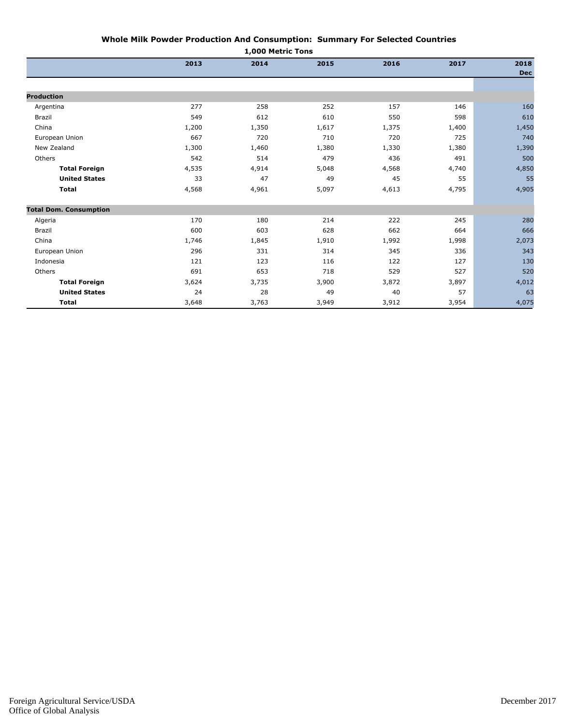| 1,000 Metric Tons             |       |       |       |       |       |                    |  |  |  |
|-------------------------------|-------|-------|-------|-------|-------|--------------------|--|--|--|
|                               | 2013  | 2014  | 2015  | 2016  | 2017  | 2018<br><b>Dec</b> |  |  |  |
|                               |       |       |       |       |       |                    |  |  |  |
| <b>Production</b>             |       |       |       |       |       |                    |  |  |  |
| Argentina                     | 277   | 258   | 252   | 157   | 146   | 160                |  |  |  |
| Brazil                        | 549   | 612   | 610   | 550   | 598   | 610                |  |  |  |
| China                         | 1,200 | 1,350 | 1,617 | 1,375 | 1,400 | 1,450              |  |  |  |
| European Union                | 667   | 720   | 710   | 720   | 725   | 740                |  |  |  |
| New Zealand                   | 1,300 | 1,460 | 1,380 | 1,330 | 1,380 | 1,390              |  |  |  |
| Others                        | 542   | 514   | 479   | 436   | 491   | 500                |  |  |  |
| <b>Total Foreign</b>          | 4,535 | 4,914 | 5,048 | 4,568 | 4,740 | 4,850              |  |  |  |
| <b>United States</b>          | 33    | 47    | 49    | 45    | 55    | 55                 |  |  |  |
| <b>Total</b>                  | 4,568 | 4,961 | 5,097 | 4,613 | 4,795 | 4,905              |  |  |  |
| <b>Total Dom. Consumption</b> |       |       |       |       |       |                    |  |  |  |
| Algeria                       | 170   | 180   | 214   | 222   | 245   | 280                |  |  |  |
| Brazil                        | 600   | 603   | 628   | 662   | 664   | 666                |  |  |  |
| China                         | 1,746 | 1,845 | 1,910 | 1,992 | 1,998 | 2,073              |  |  |  |
| European Union                | 296   | 331   | 314   | 345   | 336   | 343                |  |  |  |
| Indonesia                     | 121   | 123   | 116   | 122   | 127   | 130                |  |  |  |
| Others                        | 691   | 653   | 718   | 529   | 527   | 520                |  |  |  |
| <b>Total Foreign</b>          | 3,624 | 3,735 | 3,900 | 3,872 | 3,897 | 4,012              |  |  |  |
| <b>United States</b>          | 24    | 28    | 49    | 40    | 57    | 63                 |  |  |  |
| <b>Total</b>                  | 3,648 | 3,763 | 3,949 | 3,912 | 3,954 | 4,075              |  |  |  |

## **Whole Milk Powder Production And Consumption: Summary For Selected Countries**